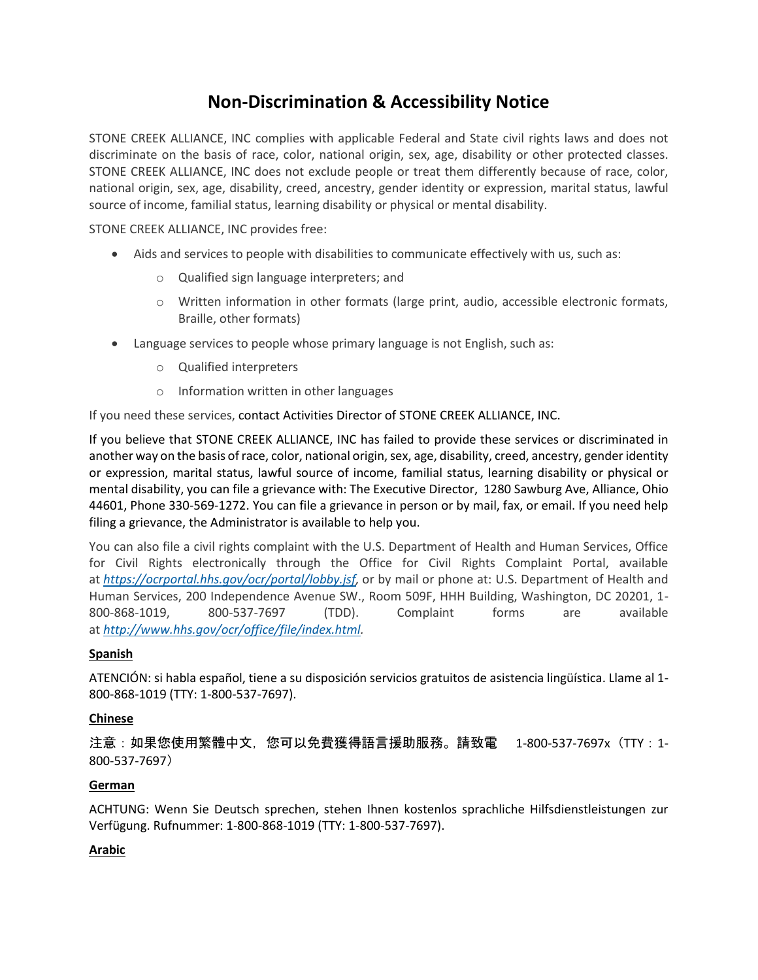# **Non-Discrimination & Accessibility Notice**

STONE CREEK ALLIANCE, INC complies with applicable Federal and State civil rights laws and does not discriminate on the basis of race, color, national origin, sex, age, disability or other protected classes. STONE CREEK ALLIANCE, INC does not exclude people or treat them differently because of race, color, national origin, sex, age, disability, creed, ancestry, gender identity or expression, marital status, lawful source of income, familial status, learning disability or physical or mental disability.

STONE CREEK ALLIANCE, INC provides free:

- Aids and services to people with disabilities to communicate effectively with us, such as:
	- o Qualified sign language interpreters; and
	- o Written information in other formats (large print, audio, accessible electronic formats, Braille, other formats)
- Language services to people whose primary language is not English, such as:
	- o Qualified interpreters
	- o Information written in other languages

If you need these services, contact Activities Director of STONE CREEK ALLIANCE, INC.

If you believe that STONE CREEK ALLIANCE, INC has failed to provide these services or discriminated in another way on the basis of race, color, national origin, sex, age, disability, creed, ancestry, gender identity or expression, marital status, lawful source of income, familial status, learning disability or physical or mental disability, you can file a grievance with: The Executive Director, 1280 Sawburg Ave, Alliance, Ohio 44601, Phone 330-569-1272. You can file a grievance in person or by mail, fax, or email. If you need help filing a grievance, the Administrator is available to help you.

You can also file a civil rights complaint with the U.S. Department of Health and Human Services, Office for Civil Rights electronically through the Office for Civil Rights Complaint Portal, available at *[https://ocrportal.hhs.gov/ocr/portal/lobby.jsf,](https://ocrportal.hhs.gov/ocr/portal/lobby.jsf)* or by mail or phone at: U.S. Department of Health and Human Services, 200 Independence Avenue SW., Room 509F, HHH Building, Washington, DC 20201, 1- 800-868-1019, 800-537-7697 (TDD). Complaint forms are available at *[http://www.hhs.gov/ocr/office/file/index.html.](http://www.hhs.gov/ocr/office/file/index.html)*

# **Spanish**

ATENCIÓN: si habla español, tiene a su disposición servicios gratuitos de asistencia lingüística. Llame al 1- 800-868-1019 (TTY: 1-800-537-7697).

# **Chinese**

注意:如果您使用繁體中文,您可以免費獲得語言援助服務。請致電 1-800-537-7697x(TTY:1- 800-537-7697)

# **German**

ACHTUNG: Wenn Sie Deutsch sprechen, stehen Ihnen kostenlos sprachliche Hilfsdienstleistungen zur Verfügung. Rufnummer: 1-800-868-1019 (TTY: 1-800-537-7697).

# **Arabic**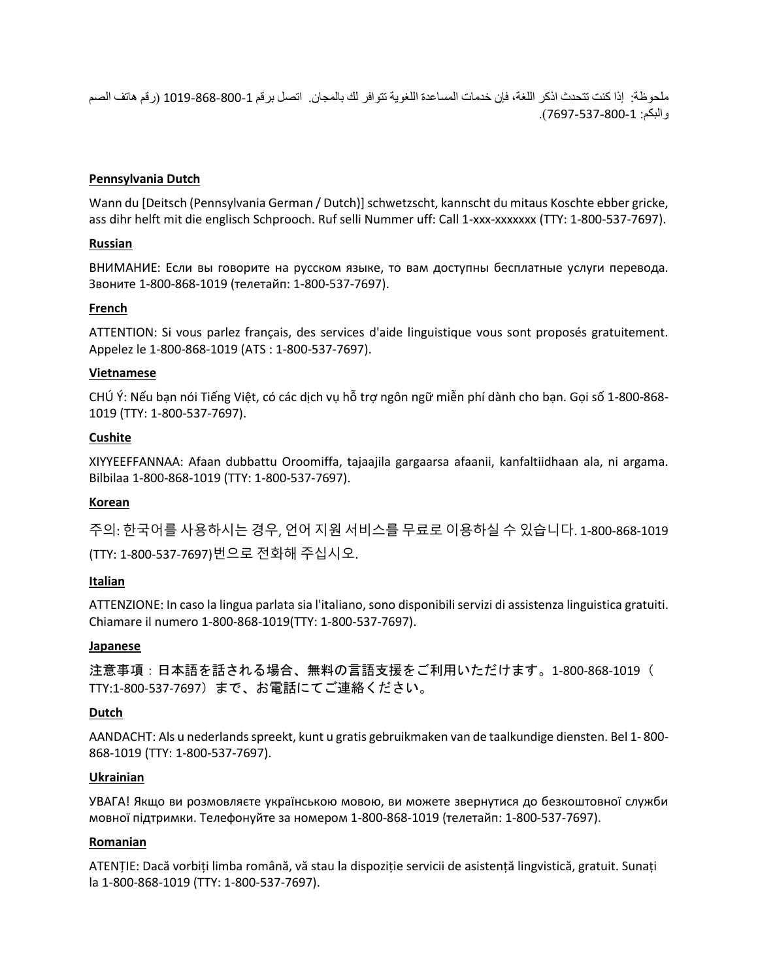ملحوظة: إذا كنت تتحدث اذكر اللغة، فإن خدمات المساعدة اللغوية تتوافر لك بالمجان. اتصل برقم 1019-868-800-1 )رقم هاتف الصم والبكم: 7697-537-800-1(.

#### **Pennsylvania Dutch**

Wann du [Deitsch (Pennsylvania German / Dutch)] schwetzscht, kannscht du mitaus Koschte ebber gricke, ass dihr helft mit die englisch Schprooch. Ruf selli Nummer uff: Call 1-xxx-xxxxxxx (TTY: 1-800-537-7697).

#### **Russian**

ВНИМАНИЕ: Если вы говорите на русском языке, то вам доступны бесплатные услуги перевода. Звоните 1-800-868-1019 (телетайп: 1-800-537-7697).

#### **French**

ATTENTION: Si vous parlez français, des services d'aide linguistique vous sont proposés gratuitement. Appelez le 1-800-868-1019 (ATS : 1-800-537-7697).

#### **Vietnamese**

CHÚ Ý: Nếu bạn nói Tiếng Việt, có các dịch vụ hỗ trợ ngôn ngữ miễn phí dành cho bạn. Gọi số 1-800-868- 1019 (TTY: 1-800-537-7697).

#### **Cushite**

XIYYEEFFANNAA: Afaan dubbattu Oroomiffa, tajaajila gargaarsa afaanii, kanfaltiidhaan ala, ni argama. Bilbilaa 1-800-868-1019 (TTY: 1-800-537-7697).

# **Korean**

주의: 한국어를 사용하시는 경우, 언어 지원 서비스를 무료로 이용하실 수 있습니다. 1-800-868-1019 (TTY: 1-800-537-7697)번으로 전화해 주십시오.

# **Italian**

ATTENZIONE: In caso la lingua parlata sia l'italiano, sono disponibili servizi di assistenza linguistica gratuiti. Chiamare il numero 1-800-868-1019(TTY: 1-800-537-7697).

#### **Japanese**

注意事項:日本語を話される場合、無料の言語支援をご利用いただけます。1-800-868-1019( TTY:1-800-537-7697)まで、お電話にてご連絡ください。

#### **Dutch**

AANDACHT: Als u nederlands spreekt, kunt u gratis gebruikmaken van de taalkundige diensten. Bel 1- 800- 868-1019 (TTY: 1-800-537-7697).

#### **Ukrainian**

УВАГА! Якщо ви розмовляєте українською мовою, ви можете звернутися до безкоштовної служби мовної підтримки. Телефонуйте за номером 1-800-868-1019 (телетайп: 1-800-537-7697).

#### **Romanian**

ATENȚIE: Dacă vorbiți limba română, vă stau la dispoziție servicii de asistență lingvistică, gratuit. Sunați la 1-800-868-1019 (TTY: 1-800-537-7697).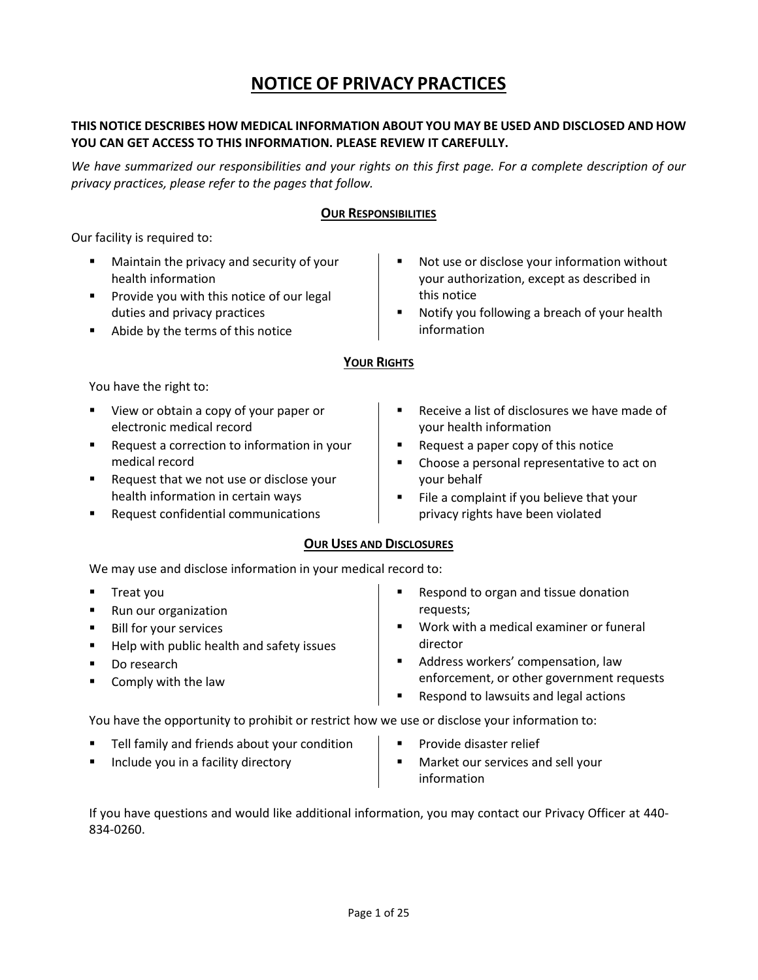# **NOTICE OF PRIVACY PRACTICES**

# **THIS NOTICE DESCRIBES HOW MEDICAL INFORMATION ABOUT YOU MAY BE USED AND DISCLOSED AND HOW YOU CAN GET ACCESS TO THIS INFORMATION. PLEASE REVIEW IT CAREFULLY.**

*We have summarized our responsibilities and your rights on this first page. For a complete description of our privacy practices, please refer to the pages that follow.*

# **OUR RESPONSIBILITIES**

Our facility is required to:

- Maintain the privacy and security of your health information
- Provide you with this notice of our legal duties and privacy practices
- Abide by the terms of this notice
- Not use or disclose your information without your authorization, except as described in this notice
- Notify you following a breach of your health information

# **YOUR RIGHTS**

You have the right to:

- View or obtain a copy of your paper or electronic medical record
- Request a correction to information in your medical record
- Request that we not use or disclose your health information in certain ways
- Request confidential communications
- Receive a list of disclosures we have made of your health information
- Request a paper copy of this notice
- Choose a personal representative to act on your behalf
- File a complaint if you believe that your privacy rights have been violated

# **OUR USES AND DISCLOSURES**

We may use and disclose information in your medical record to:

- Treat you
- Run our organization
- Bill for your services
- Help with public health and safety issues
- Do research
- Comply with the law
- Respond to organ and tissue donation requests;
- Work with a medical examiner or funeral director
- Address workers' compensation, law enforcement, or other government requests
- Respond to lawsuits and legal actions

You have the opportunity to prohibit or restrict how we use or disclose your information to:

- Tell family and friends about your condition
- Include you in a facility directory
- Provide disaster relief
- Market our services and sell your information

If you have questions and would like additional information, you may contact our Privacy Officer at 440- 834-0260.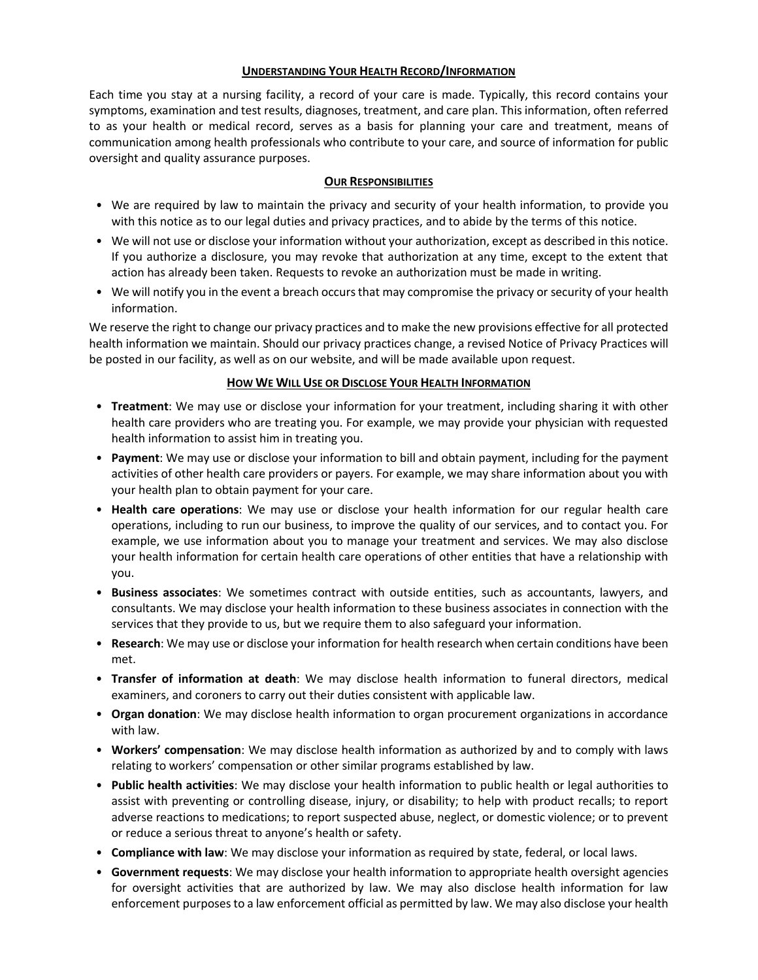#### **UNDERSTANDING YOUR HEALTH RECORD/INFORMATION**

Each time you stay at a nursing facility, a record of your care is made. Typically, this record contains your symptoms, examination and test results, diagnoses, treatment, and care plan. This information, often referred to as your health or medical record, serves as a basis for planning your care and treatment, means of communication among health professionals who contribute to your care, and source of information for public oversight and quality assurance purposes.

# **OUR RESPONSIBILITIES**

- We are required by law to maintain the privacy and security of your health information, to provide you with this notice as to our legal duties and privacy practices, and to abide by the terms of this notice.
- We will not use or disclose your information without your authorization, except as described in this notice. If you authorize a disclosure, you may revoke that authorization at any time, except to the extent that action has already been taken. Requests to revoke an authorization must be made in writing.
- We will notify you in the event a breach occurs that may compromise the privacy or security of your health information.

We reserve the right to change our privacy practices and to make the new provisions effective for all protected health information we maintain. Should our privacy practices change, a revised Notice of Privacy Practices will be posted in our facility, as well as on our website, and will be made available upon request.

#### **HOW WE WILL USE OR DISCLOSE YOUR HEALTH INFORMATION**

- **Treatment**: We may use or disclose your information for your treatment, including sharing it with other health care providers who are treating you. For example, we may provide your physician with requested health information to assist him in treating you.
- **Payment**: We may use or disclose your information to bill and obtain payment, including for the payment activities of other health care providers or payers. For example, we may share information about you with your health plan to obtain payment for your care.
- **Health care operations**: We may use or disclose your health information for our regular health care operations, including to run our business, to improve the quality of our services, and to contact you. For example, we use information about you to manage your treatment and services. We may also disclose your health information for certain health care operations of other entities that have a relationship with you.
- **Business associates**: We sometimes contract with outside entities, such as accountants, lawyers, and consultants. We may disclose your health information to these business associates in connection with the services that they provide to us, but we require them to also safeguard your information.
- **Research**: We may use or disclose your information for health research when certain conditions have been met.
- **Transfer of information at death**: We may disclose health information to funeral directors, medical examiners, and coroners to carry out their duties consistent with applicable law.
- **Organ donation**: We may disclose health information to organ procurement organizations in accordance with law.
- **Workers' compensation**: We may disclose health information as authorized by and to comply with laws relating to workers' compensation or other similar programs established by law.
- **Public health activities**: We may disclose your health information to public health or legal authorities to assist with preventing or controlling disease, injury, or disability; to help with product recalls; to report adverse reactions to medications; to report suspected abuse, neglect, or domestic violence; or to prevent or reduce a serious threat to anyone's health or safety.
- **Compliance with law**: We may disclose your information as required by state, federal, or local laws.
- **Government requests**: We may disclose your health information to appropriate health oversight agencies for oversight activities that are authorized by law. We may also disclose health information for law enforcement purposes to a law enforcement official as permitted by law. We may also disclose your health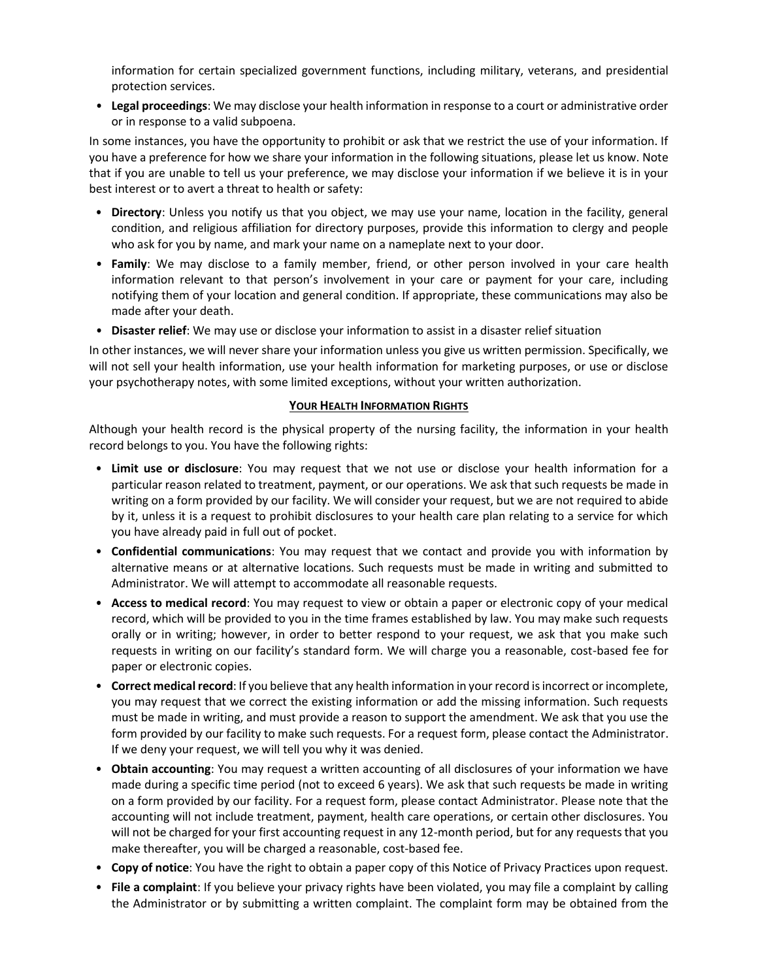information for certain specialized government functions, including military, veterans, and presidential protection services.

• **Legal proceedings**: We may disclose your health information in response to a court or administrative order or in response to a valid subpoena.

In some instances, you have the opportunity to prohibit or ask that we restrict the use of your information. If you have a preference for how we share your information in the following situations, please let us know. Note that if you are unable to tell us your preference, we may disclose your information if we believe it is in your best interest or to avert a threat to health or safety:

- **Directory**: Unless you notify us that you object, we may use your name, location in the facility, general condition, and religious affiliation for directory purposes, provide this information to clergy and people who ask for you by name, and mark your name on a nameplate next to your door.
- **Family**: We may disclose to a family member, friend, or other person involved in your care health information relevant to that person's involvement in your care or payment for your care, including notifying them of your location and general condition. If appropriate, these communications may also be made after your death.
- **Disaster relief**: We may use or disclose your information to assist in a disaster relief situation

In other instances, we will never share your information unless you give us written permission. Specifically, we will not sell your health information, use your health information for marketing purposes, or use or disclose your psychotherapy notes, with some limited exceptions, without your written authorization.

#### **YOUR HEALTH INFORMATION RIGHTS**

Although your health record is the physical property of the nursing facility, the information in your health record belongs to you. You have the following rights:

- **Limit use or disclosure**: You may request that we not use or disclose your health information for a particular reason related to treatment, payment, or our operations. We ask that such requests be made in writing on a form provided by our facility. We will consider your request, but we are not required to abide by it, unless it is a request to prohibit disclosures to your health care plan relating to a service for which you have already paid in full out of pocket.
- **Confidential communications**: You may request that we contact and provide you with information by alternative means or at alternative locations. Such requests must be made in writing and submitted to Administrator. We will attempt to accommodate all reasonable requests.
- **Access to medical record**: You may request to view or obtain a paper or electronic copy of your medical record, which will be provided to you in the time frames established by law. You may make such requests orally or in writing; however, in order to better respond to your request, we ask that you make such requests in writing on our facility's standard form. We will charge you a reasonable, cost-based fee for paper or electronic copies.
- **Correct medical record**: If you believe that any health information in your record is incorrect or incomplete, you may request that we correct the existing information or add the missing information. Such requests must be made in writing, and must provide a reason to support the amendment. We ask that you use the form provided by our facility to make such requests. For a request form, please contact the Administrator. If we deny your request, we will tell you why it was denied.
- **Obtain accounting**: You may request a written accounting of all disclosures of your information we have made during a specific time period (not to exceed 6 years). We ask that such requests be made in writing on a form provided by our facility. For a request form, please contact Administrator. Please note that the accounting will not include treatment, payment, health care operations, or certain other disclosures. You will not be charged for your first accounting request in any 12-month period, but for any requests that you make thereafter, you will be charged a reasonable, cost-based fee.
- **Copy of notice**: You have the right to obtain a paper copy of this Notice of Privacy Practices upon request.
- **File a complaint**: If you believe your privacy rights have been violated, you may file a complaint by calling the Administrator or by submitting a written complaint. The complaint form may be obtained from the